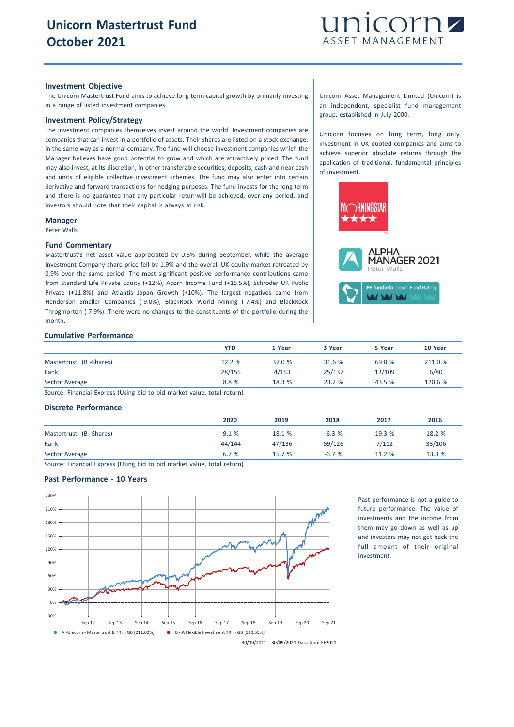

#### **Investment Objective**

The Unicorn Mastertrust Fund aims to achieve long term capital growth by primarily investing in a range of listed investment companies.

## **Investment Policy/Strategy**

The investment companies themselves invest around the world. Investment companies are companies that can invest in a portfolio of assets. Their shares are listed on a stock exchange, in the same way as a normal company. The fund will choose investment companies which the Manager believes have good potential to grow and which are attractively priced. The fund may also invest, at its discretion, in other transferable securities, deposits, cash and near cash and units of eligible collective investment schemes. The fund may also enter into certain derivative and forward transactions for hedging purposes. The fund invests for the long term and there is no guarantee that any particular returnwill be achieved, over any period, and investors should note that their capital is always at risk.

#### **Manager**

Peter Walls

#### **Fund Commentary**

Mastertrust's net asset value appreciated by 0.8% during September, while the average Investment Company share price fell by 1.9% and the overall UK equity market retreated by 0.9% over the same period. The most significant positive performance contributions came from Standard Life Private Equity (+12%), Acorn Income Fund (+15.5%), Schroder UK Public Private (+11.8%) and Atlantis Japan Growth (+10%). The largest negatives came from Henderson Smaller Companies (-9.0%), BlackRock World Mining (-7.4%) and BlackRock Throgmorton (-7.9%). There were no changes to the constituents of the portfolio during the month.

## **Cumulative Performance**

|                        | YTD    | 1 Year | 3 Year | 5 Year | 10 Year |
|------------------------|--------|--------|--------|--------|---------|
| Mastertrust (B-Shares) | 12.2 % | 37.0 % | 31.6 % | 69.8 % | 211.0 % |
| Rank                   | 28/155 | 4/153  | 25/137 | 12/109 | 6/80    |
| Sector Average         | 8.8 %  | 18.3%  | 23.2%  | 43.5 % | 120.6 % |

Source: Financial Express (Using bid to bid market value, total return)

### **Discrete Performance**

|                        | 2020   | 2019   | 2018    | 2017   | 2016   |
|------------------------|--------|--------|---------|--------|--------|
| Mastertrust (B-Shares) | 9.1%   | 18.1 % | $-6.3%$ | 19.3 % | 18.2 % |
| Rank                   | 44/144 | 47/136 | 59/126  | 7/112  | 33/106 |
| Sector Average         | 6.7%   | 15.7 % | $-6.7%$ | 11.2 % | 13.8 % |

Source: Financial Express (Using bid to bid market value, total return)

# **Past Performance - 10 Years**



Past performance is not a guide to future performance. The value of investments and the income from them may go down as well as up and investors may not get back the full amount of their original investment.

Unicorn Asset Management Limited (Unicorn) is an independent, specialist fund management group, established in July 2000.

Unicorn focuses on long term, long only, investment in UK quoted companies and aims to achieve superior absolute returns through the application of traditional, fundamental principles of investment.